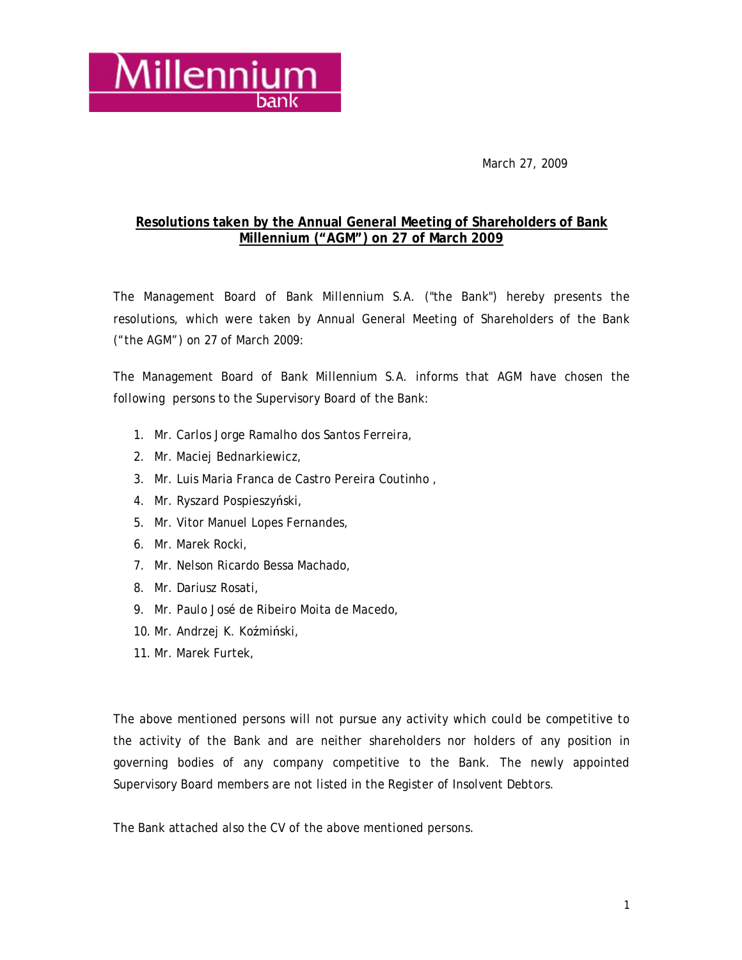

March 27, 2009

### **Resolutions taken by the Annual General Meeting of Shareholders of Bank Millennium ("AGM") on 27 of March 2009**

The Management Board of Bank Millennium S.A. ("the Bank") hereby presents the resolutions, which were taken by Annual General Meeting of Shareholders of the Bank ("the AGM") on 27 of March 2009:

The Management Board of Bank Millennium S.A. informs that AGM have chosen the following persons to the Supervisory Board of the Bank:

- 1. Mr. Carlos Jorge Ramalho dos Santos Ferreira,
- 2. Mr. Maciej Bednarkiewicz,
- 3. Mr. Luis Maria Franca de Castro Pereira Coutinho ,
- 4. Mr. Ryszard Pospieszyński,
- 5. Mr. Vitor Manuel Lopes Fernandes,
- 6. Mr. Marek Rocki,
- 7. Mr. Nelson Ricardo Bessa Machado,
- 8. Mr. Dariusz Rosati,
- 9. Mr. Paulo José de Ribeiro Moita de Macedo,
- 10. Mr. Andrzej K. Koźmiński,
- 11. Mr. Marek Furtek,

The above mentioned persons will not pursue any activity which could be competitive to the activity of the Bank and are neither shareholders nor holders of any position in governing bodies of any company competitive to the Bank. The newly appointed Supervisory Board members are not listed in the Register of Insolvent Debtors.

The Bank attached also the CV of the above mentioned persons.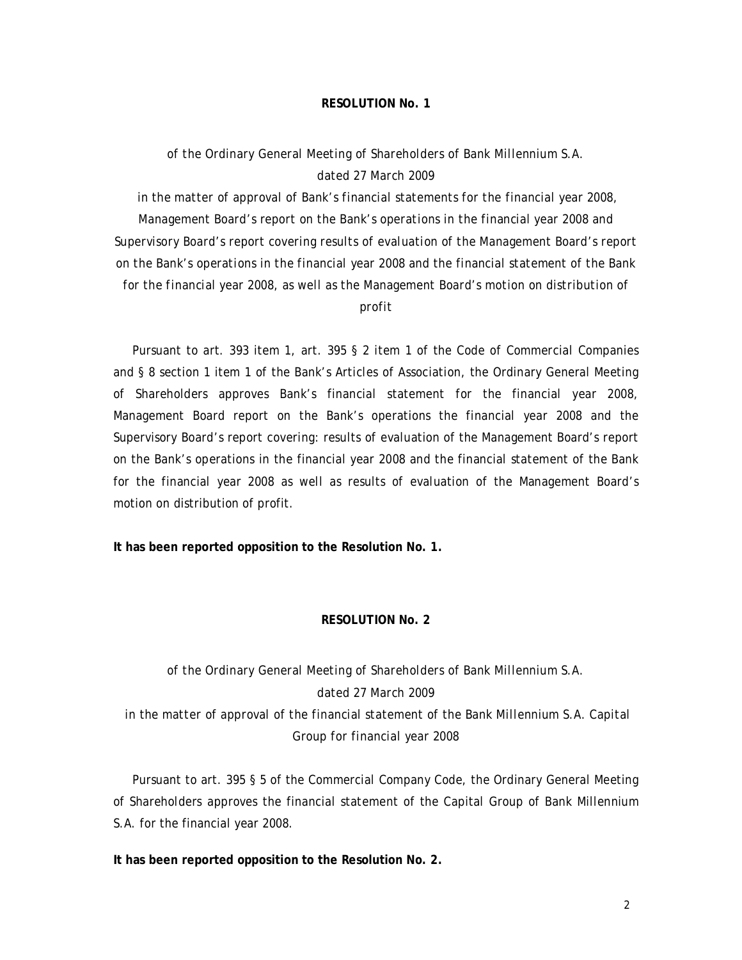### *of the Ordinary General Meeting of Shareholders of Bank Millennium S.A. dated 27 March 2009*

*in the matter of approval of Bank's financial statements for the financial year 2008, Management Board's report on the Bank's operations in the financial year 2008 and Supervisory Board's report covering results of evaluation of the Management Board's report on the Bank's operations in the financial year 2008 and the financial statement of the Bank for the financial year 2008, as well as the Management Board's motion on distribution of profit* 

 Pursuant to art. 393 item 1, art. 395 § 2 item 1 of the Code of Commercial Companies and § 8 section 1 item 1 of the Bank's Articles of Association, the Ordinary General Meeting of Shareholders approves Bank's financial statement for the financial year 2008, Management Board report on the Bank's operations the financial year 2008 and the Supervisory Board's report covering: results of evaluation of the Management Board's report on the Bank's operations in the financial year 2008 and the financial statement of the Bank for the financial year 2008 as well as results of evaluation of the Management Board's motion on distribution of profit.

**It has been reported opposition to the Resolution No. 1.** 

#### **RESOLUTION No. 2**

# *of the Ordinary General Meeting of Shareholders of Bank Millennium S.A. dated 27 March 2009 in the matter of approval of the financial statement of the Bank Millennium S.A. Capital Group for financial year 2008*

 Pursuant to art. 395 § 5 of the Commercial Company Code, the Ordinary General Meeting of Shareholders approves the financial statement of the Capital Group of Bank Millennium S.A. for the financial year 2008.

**It has been reported opposition to the Resolution No. 2.**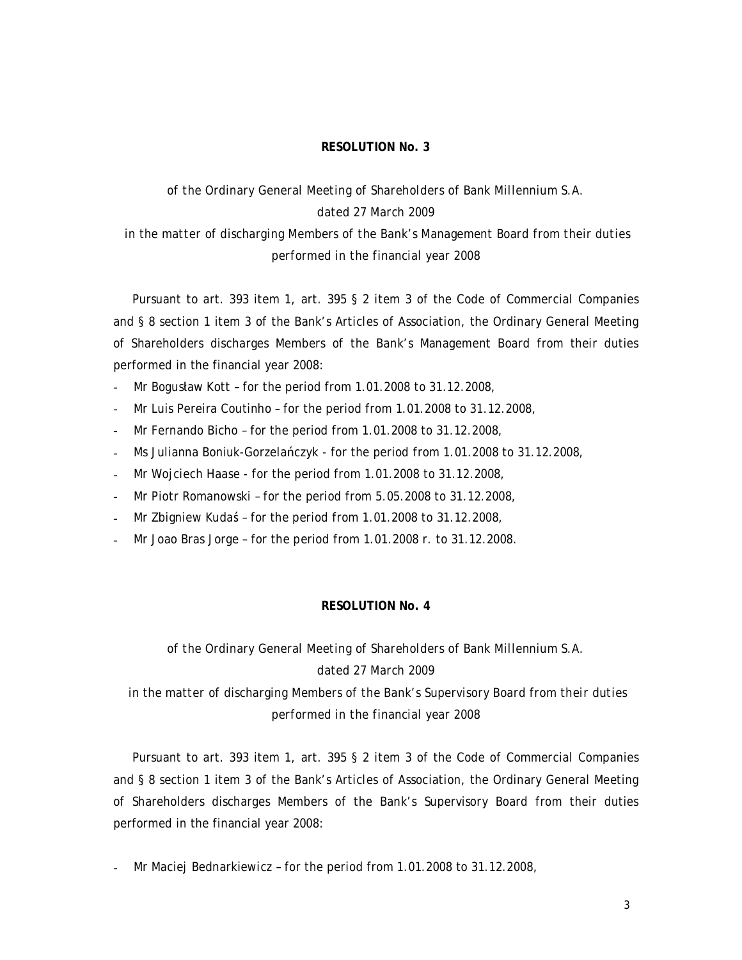# *of the Ordinary General Meeting of Shareholders of Bank Millennium S.A. dated 27 March 2009 in the matter of discharging Members of the Bank's Management Board from their duties*

*performed in the financial year 2008* 

 Pursuant to art. 393 item 1, art. 395 § 2 item 3 of the Code of Commercial Companies and § 8 section 1 item 3 of the Bank's Articles of Association, the Ordinary General Meeting of Shareholders discharges Members of the Bank's Management Board from their duties performed in the financial year 2008:

- Mr Bogusław Kott for the period from 1.01.2008 to 31.12.2008,
- Mr Luis Pereira Coutinho for the period from 1.01.2008 to 31.12.2008,
- Mr Fernando Bicho for the period from 1.01.2008 to 31.12.2008,
- Ms Julianna Boniuk-Gorzelańczyk for the period from 1.01.2008 to 31.12.2008,
- Mr Wojciech Haase for the period from 1.01.2008 to 31.12.2008,
- Mr Piotr Romanowski for the period from 5.05.2008 to 31.12.2008,
- Mr Zbigniew Kudaś for the period from 1.01.2008 to 31.12.2008,
- Mr Joao Bras Jorge for the period from 1.01.2008 r. to 31.12.2008.

#### **RESOLUTION No. 4**

# *of the Ordinary General Meeting of Shareholders of Bank Millennium S.A. dated 27 March 2009*

*in the matter of discharging Members of the Bank's Supervisory Board from their duties performed in the financial year 2008* 

 Pursuant to art. 393 item 1, art. 395 § 2 item 3 of the Code of Commercial Companies and § 8 section 1 item 3 of the Bank's Articles of Association, the Ordinary General Meeting of Shareholders discharges Members of the Bank's Supervisory Board from their duties performed in the financial year 2008:

Mr Maciej Bednarkiewicz - for the period from 1.01.2008 to 31.12.2008,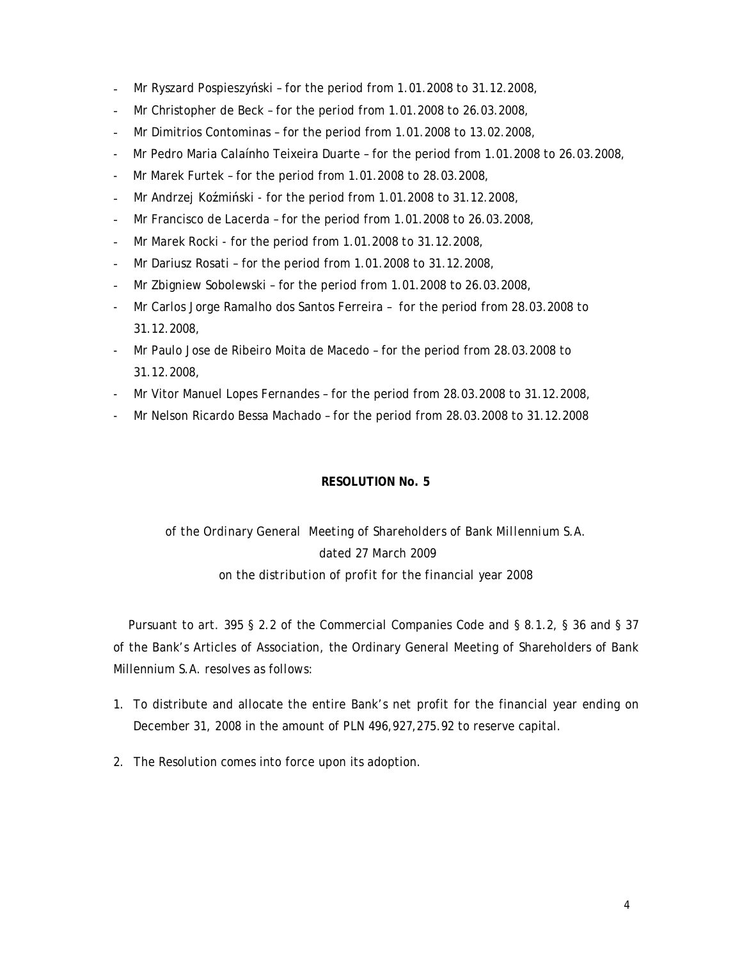- Mr Ryszard Pospieszyński for the period from 1.01.2008 to 31.12.2008,
- Mr Christopher de Beck for the period from 1.01.2008 to 26.03.2008,
- Mr Dimitrios Contominas for the period from 1.01.2008 to 13.02.2008,
- Mr Pedro Maria Calaínho Teixeira Duarte for the period from 1.01.2008 to 26.03.2008,
- Mr Marek Furtek for the period from 1.01.2008 to 28.03.2008,
- Mr Andrzej Koźmiński for the period from 1.01.2008 to 31.12.2008,
- Mr Francisco de Lacerda for the period from 1.01.2008 to 26.03.2008,
- Mr Marek Rocki for the period from 1.01.2008 to 31.12.2008,
- Mr Dariusz Rosati for the period from 1.01.2008 to 31.12.2008,
- Mr Zbigniew Sobolewski for the period from 1.01.2008 to 26.03.2008,
- Mr Carlos Jorge Ramalho dos Santos Ferreira for the period from 28.03.2008 to 31.12.2008,
- Mr Paulo Jose de Ribeiro Moita de Macedo for the period from 28.03.2008 to 31.12.2008,
- Mr Vitor Manuel Lopes Fernandes for the period from 28.03.2008 to 31.12.2008,
- Mr Nelson Ricardo Bessa Machado for the period from 28.03.2008 to 31.12.2008

## *of the Ordinary General Meeting of Shareholders of Bank Millennium S.A. dated 27 March 2009 on the distribution of profit for the financial year 2008*

 Pursuant to art. 395 § 2.2 of the Commercial Companies Code and § 8.1.2, § 36 and § 37 of the Bank's Articles of Association, the Ordinary General Meeting of Shareholders of Bank Millennium S.A. resolves as follows:

- 1. To distribute and allocate the entire Bank's net profit for the financial year ending on December 31, 2008 in the amount of PLN 496,927,275.92 to reserve capital.
- 2. The Resolution comes into force upon its adoption.